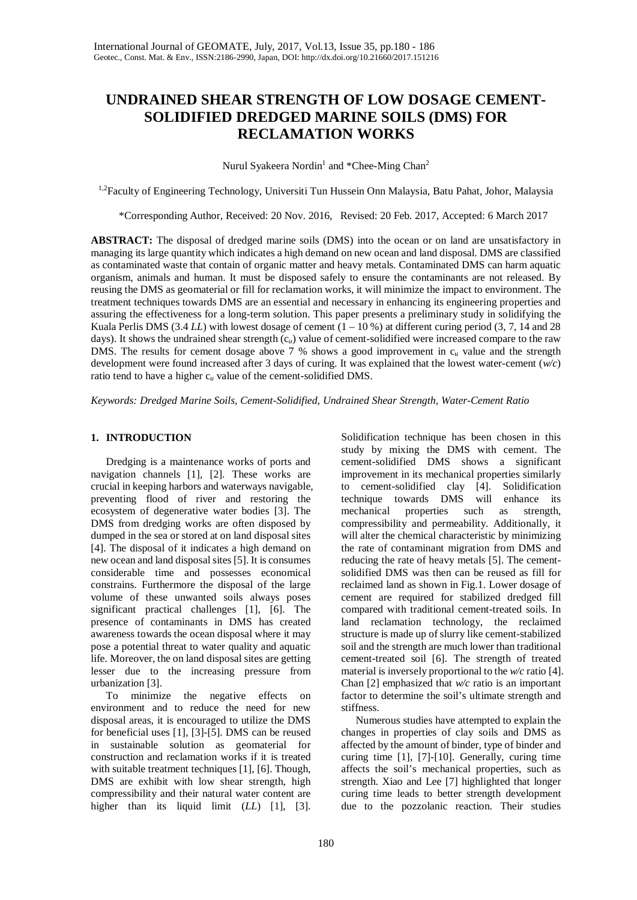# **UNDRAINED SHEAR STRENGTH OF LOW DOSAGE CEMENT-SOLIDIFIED DREDGED MARINE SOILS (DMS) FOR RECLAMATION WORKS**

Nurul Syakeera Nordin<sup>1</sup> and \*Chee-Ming Chan<sup>2</sup>

<sup>1,2</sup>Faculty of Engineering Technology, Universiti Tun Hussein Onn Malaysia, Batu Pahat, Johor, Malaysia

\*Corresponding Author, Received: 20 Nov. 2016, Revised: 20 Feb. 2017, Accepted: 6 March 2017

**ABSTRACT:** The disposal of dredged marine soils (DMS) into the ocean or on land are unsatisfactory in managing its large quantity which indicates a high demand on new ocean and land disposal. DMS are classified as contaminated waste that contain of organic matter and heavy metals. Contaminated DMS can harm aquatic organism, animals and human. It must be disposed safely to ensure the contaminants are not released. By reusing the DMS as geomaterial or fill for reclamation works, it will minimize the impact to environment. The treatment techniques towards DMS are an essential and necessary in enhancing its engineering properties and assuring the effectiveness for a long-term solution. This paper presents a preliminary study in solidifying the Kuala Perlis DMS  $(3.4 \text{ LL})$  with lowest dosage of cement  $(1 - 10 \%)$  at different curing period  $(3, 7, 14 \text{ and } 28 \text{ m})$ days). It shows the undrained shear strength (c*u*) value of cement-solidified were increased compare to the raw DMS. The results for cement dosage above 7 % shows a good improvement in c*<sup>u</sup>* value and the strength development were found increased after 3 days of curing. It was explained that the lowest water-cement (*w/c*) ratio tend to have a higher  $c_u$  value of the cement-solidified DMS.

*Keywords: Dredged Marine Soils, Cement-Solidified, Undrained Shear Strength, Water-Cement Ratio* 

# **1. INTRODUCTION**

Dredging is a maintenance works of ports and navigation channels [1], [2]. These works are crucial in keeping harbors and waterways navigable, preventing flood of river and restoring the ecosystem of degenerative water bodies [3]. The DMS from dredging works are often disposed by dumped in the sea or stored at on land disposal sites [4]. The disposal of it indicates a high demand on new ocean and land disposal sites [5]. It is consumes considerable time and possesses economical constrains. Furthermore the disposal of the large volume of these unwanted soils always poses significant practical challenges [1], [6]. The presence of contaminants in DMS has created awareness towards the ocean disposal where it may pose a potential threat to water quality and aquatic life. Moreover, the on land disposal sites are getting lesser due to the increasing pressure from urbanization [3].

To minimize the negative effects on environment and to reduce the need for new disposal areas, it is encouraged to utilize the DMS for beneficial uses [1], [3]-[5]. DMS can be reused in sustainable solution as geomaterial for construction and reclamation works if it is treated with suitable treatment techniques [1], [6]. Though, DMS are exhibit with low shear strength, high compressibility and their natural water content are higher than its liquid limit (*LL*) [1], [3].

Solidification technique has been chosen in this study by mixing the DMS with cement. The cement-solidified DMS shows a significant improvement in its mechanical properties similarly to cement-solidified clay [4]. Solidification technique towards DMS will enhance its mechanical properties such as strength, compressibility and permeability. Additionally, it will alter the chemical characteristic by minimizing the rate of contaminant migration from DMS and reducing the rate of heavy metals [5]. The cementsolidified DMS was then can be reused as fill for reclaimed land as shown in Fig.1. Lower dosage of cement are required for stabilized dredged fill compared with traditional cement-treated soils. In land reclamation technology, the reclaimed structure is made up of slurry like cement-stabilized soil and the strength are much lower than traditional cement-treated soil [6]. The strength of treated material is inversely proportional to the *w/c* ratio [4]. Chan [2] emphasized that *w/c* ratio is an important factor to determine the soil's ultimate strength and stiffness.

Numerous studies have attempted to explain the changes in properties of clay soils and DMS as affected by the amount of binder, type of binder and curing time [1], [7]-[10]. Generally, curing time affects the soil's mechanical properties, such as strength. Xiao and Lee [7] highlighted that longer curing time leads to better strength development due to the pozzolanic reaction. Their studies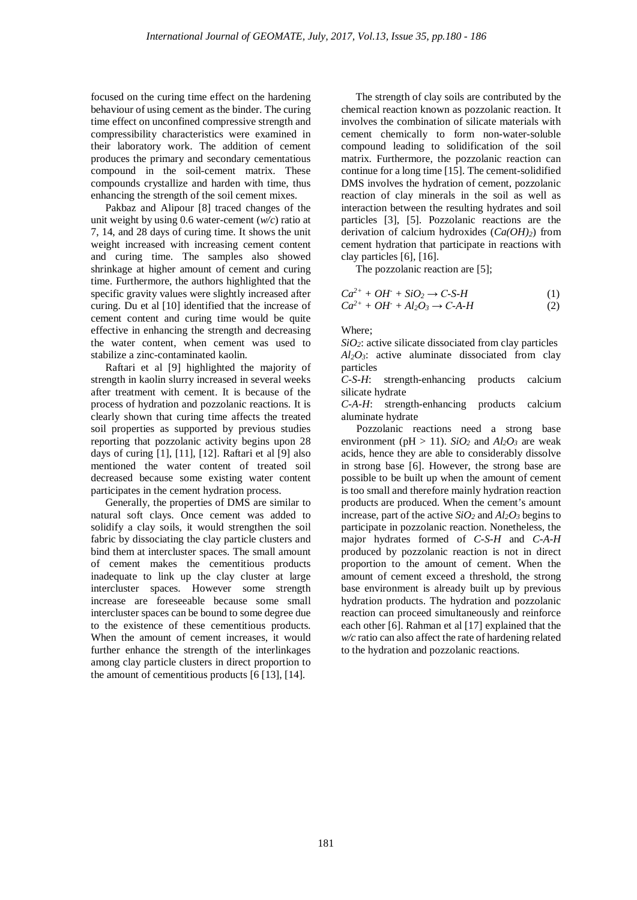focused on the curing time effect on the hardening behaviour of using cement as the binder. The curing time effect on unconfined compressive strength and compressibility characteristics were examined in their laboratory work. The addition of cement produces the primary and secondary cementatious compound in the soil-cement matrix. These compounds crystallize and harden with time, thus enhancing the strength of the soil cement mixes.

Pakbaz and Alipour [8] traced changes of the unit weight by using 0.6 water-cement (*w/c*) ratio at 7, 14, and 28 days of curing time. It shows the unit weight increased with increasing cement content and curing time. The samples also showed shrinkage at higher amount of cement and curing time. Furthermore, the authors highlighted that the specific gravity values were slightly increased after curing. Du et al [10] identified that the increase of cement content and curing time would be quite effective in enhancing the strength and decreasing the water content, when cement was used to stabilize a zinc-contaminated kaolin.

Raftari et al [9] highlighted the majority of strength in kaolin slurry increased in several weeks after treatment with cement. It is because of the process of hydration and pozzolanic reactions. It is clearly shown that curing time affects the treated soil properties as supported by previous studies reporting that pozzolanic activity begins upon 28 days of curing [1], [11], [12]. Raftari et al [9] also mentioned the water content of treated soil decreased because some existing water content participates in the cement hydration process.

Generally, the properties of DMS are similar to natural soft clays. Once cement was added to solidify a clay soils, it would strengthen the soil fabric by dissociating the clay particle clusters and bind them at intercluster spaces. The small amount of cement makes the cementitious products inadequate to link up the clay cluster at large intercluster spaces. However some strength increase are foreseeable because some small intercluster spaces can be bound to some degree due to the existence of these cementitious products. When the amount of cement increases, it would further enhance the strength of the interlinkages among clay particle clusters in direct proportion to the amount of cementitious products [6 [13], [14].

The strength of clay soils are contributed by the chemical reaction known as pozzolanic reaction. It involves the combination of silicate materials with cement chemically to form non-water-soluble compound leading to solidification of the soil matrix. Furthermore, the pozzolanic reaction can continue for a long time [15]. The cement-solidified DMS involves the hydration of cement, pozzolanic reaction of clay minerals in the soil as well as interaction between the resulting hydrates and soil particles [3], [5]. Pozzolanic reactions are the derivation of calcium hydroxides (*Ca(OH)2*) from cement hydration that participate in reactions with clay particles [6], [16].

The pozzolanic reaction are [5];

$$
Ca^{2+} + OH + SiO_2 \rightarrow C-S-H
$$
  
\n
$$
Ca^{2+} + OH + Al_2O_3 \rightarrow C-A-H
$$
\n(1)  
\n(2)

Where;

 $SiO<sub>2</sub>$ : active silicate dissociated from clay particles *Al2O3*: active aluminate dissociated from clay particles

*C-S-H*: strength-enhancing products calcium silicate hydrate

*C-A-H*: strength-enhancing products calcium aluminate hydrate

Pozzolanic reactions need a strong base environment ( $pH > 11$ ). *SiO<sub>2</sub>* and  $Al_2O_3$  are weak acids, hence they are able to considerably dissolve in strong base [6]. However, the strong base are possible to be built up when the amount of cement is too small and therefore mainly hydration reaction products are produced. When the cement's amount increase, part of the active  $SiO_2$  and  $Al_2O_3$  begins to participate in pozzolanic reaction. Nonetheless, the major hydrates formed of *C-S-H* and *C-A-H* produced by pozzolanic reaction is not in direct proportion to the amount of cement. When the amount of cement exceed a threshold, the strong base environment is already built up by previous hydration products. The hydration and pozzolanic reaction can proceed simultaneously and reinforce each other [6]. Rahman et al [17] explained that the *w/c* ratio can also affect the rate of hardening related to the hydration and pozzolanic reactions.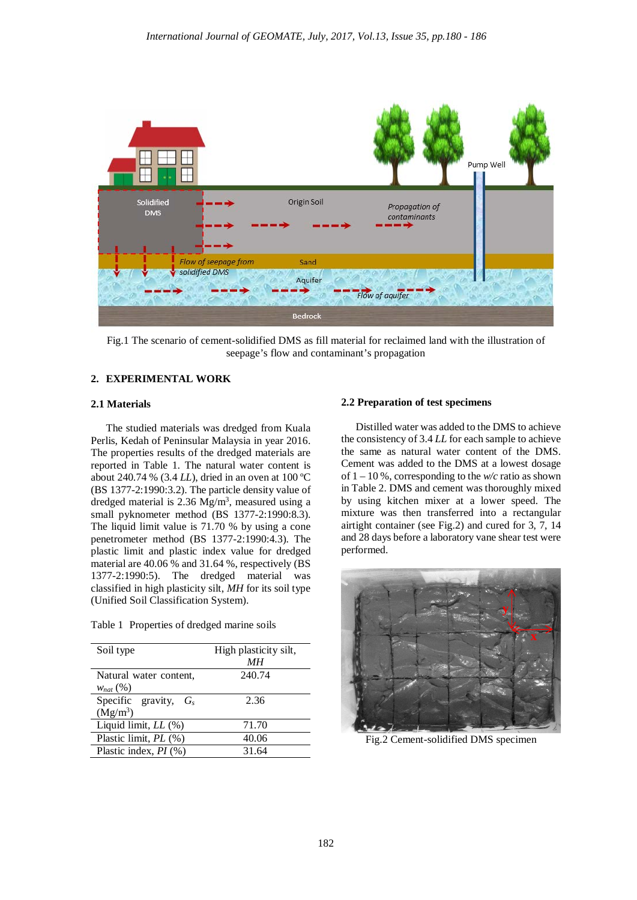

Fig.1 The scenario of cement-solidified DMS as fill material for reclaimed land with the illustration of seepage's flow and contaminant's propagation

# **2. EXPERIMENTAL WORK**

# **2.1 Materials**

The studied materials was dredged from Kuala Perlis, Kedah of Peninsular Malaysia in year 2016. The properties results of the dredged materials are reported in Table 1. The natural water content is about 240.74 % (3.4 *LL*), dried in an oven at 100 ºC (BS 1377-2:1990:3.2). The particle density value of dredged material is 2.36  $Mg/m<sup>3</sup>$ , measured using a small pyknometer method (BS 1377-2:1990:8.3). The liquid limit value is 71.70 % by using a cone penetrometer method (BS 1377-2:1990:4.3). The plastic limit and plastic index value for dredged material are 40.06 % and 31.64 %, respectively (BS 1377-2:1990:5). The dredged material was classified in high plasticity silt, *MH* for its soil type (Unified Soil Classification System).

Table 1 Properties of dredged marine soils

| Soil type                               | High plasticity silt,<br>MН |
|-----------------------------------------|-----------------------------|
| Natural water content,<br>$W_{nat}$ (%) | 240.74                      |
| Specific gravity, $G_s$<br>$(Mg/m^3)$   | 2.36                        |
| Liquid limit, LL (%)                    | 71.70                       |
| Plastic limit, PL (%)                   | 40.06                       |
| Plastic index, $PI$ (%)                 | 31.64                       |

# **2.2 Preparation of test specimens**

Distilled water was added to the DMS to achieve the consistency of 3.4 *LL* for each sample to achieve the same as natural water content of the DMS. Cement was added to the DMS at a lowest dosage of 1 – 10 %, corresponding to the *w/c* ratio as shown in Table 2. DMS and cement was thoroughly mixed by using kitchen mixer at a lower speed. The mixture was then transferred into a rectangular airtight container (see Fig.2) and cured for 3, 7, 14 and 28 days before a laboratory vane shear test were performed.



Fig.2 Cement-solidified DMS specimen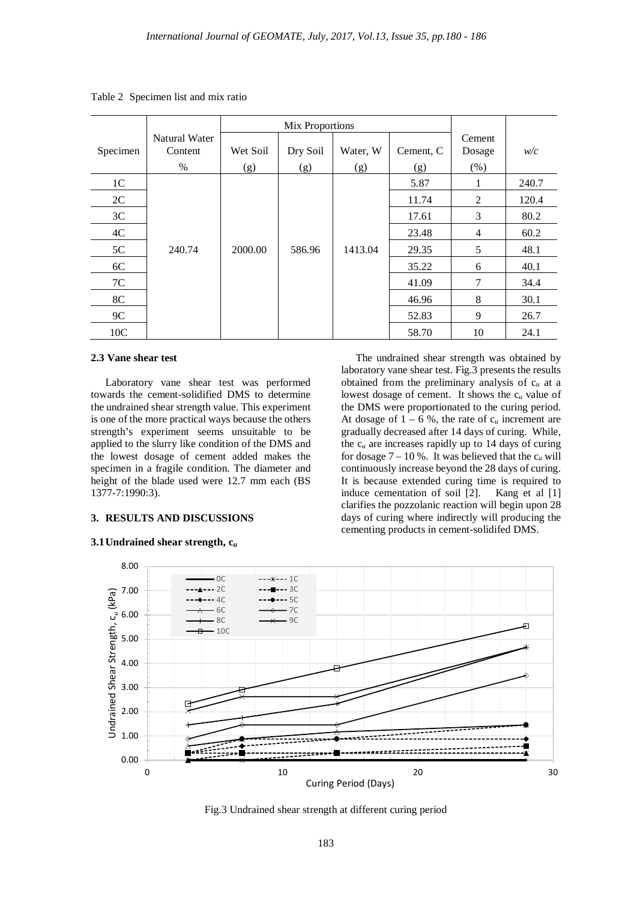|                 |                          |          | Mix Proportions |          |           |                  |       |
|-----------------|--------------------------|----------|-----------------|----------|-----------|------------------|-------|
| Specimen        | Natural Water<br>Content | Wet Soil | Dry Soil        | Water, W | Cement, C | Cement<br>Dosage | w/c   |
|                 | $\%$                     | (g)      | (g)             | (g)      | (g)       | (% )             |       |
| 1 <sup>C</sup>  |                          |          |                 |          | 5.87      | 1                | 240.7 |
| 2C              |                          |          |                 |          | 11.74     | 2                | 120.4 |
| 3C              |                          |          |                 |          | 17.61     | 3                | 80.2  |
| 4C              |                          |          |                 |          | 23.48     | 4                | 60.2  |
| 5C              | 240.74                   | 2000.00  | 586.96          | 1413.04  | 29.35     | 5                | 48.1  |
| 6C              |                          |          |                 |          | 35.22     | 6                | 40.1  |
| 7C              |                          |          |                 |          | 41.09     | 7                | 34.4  |
| 8C              |                          |          |                 |          | 46.96     | 8                | 30.1  |
| 9C              |                          |          |                 |          | 52.83     | 9                | 26.7  |
| 10 <sub>C</sub> |                          |          |                 |          | 58.70     | 10               | 24.1  |

Table 2 Specimen list and mix ratio

## **2.3 Vane shear test**

Laboratory vane shear test was performed towards the cement-solidified DMS to determine the undrained shear strength value. This experiment is one of the more practical ways because the others strength's experiment seems unsuitable to be applied to the slurry like condition of the DMS and the lowest dosage of cement added makes the specimen in a fragile condition. The diameter and height of the blade used were 12.7 mm each (BS 1377-7:1990:3).

#### **3. RESULTS AND DISCUSSIONS**

### **3.1Undrained shear strength, c***<sup>u</sup>*

The undrained shear strength was obtained by laboratory vane shear test. Fig.3 presents the results obtained from the preliminary analysis of c*<sup>u</sup>* at a lowest dosage of cement. It shows the c*<sup>u</sup>* value of the DMS were proportionated to the curing period. At dosage of  $1 - 6$  %, the rate of  $c_u$  increment are gradually decreased after 14 days of curing. While, the c*<sup>u</sup>* are increases rapidly up to 14 days of curing for dosage  $7 - 10$  %. It was believed that the  $c_u$  will continuously increase beyond the 28 days of curing. It is because extended curing time is required to induce cementation of soil [2]. Kang et al [1] clarifies the pozzolanic reaction will begin upon 28 days of curing where indirectly will producing the cementing products in cement-solidifed DMS.



Fig.3 Undrained shear strength at different curing period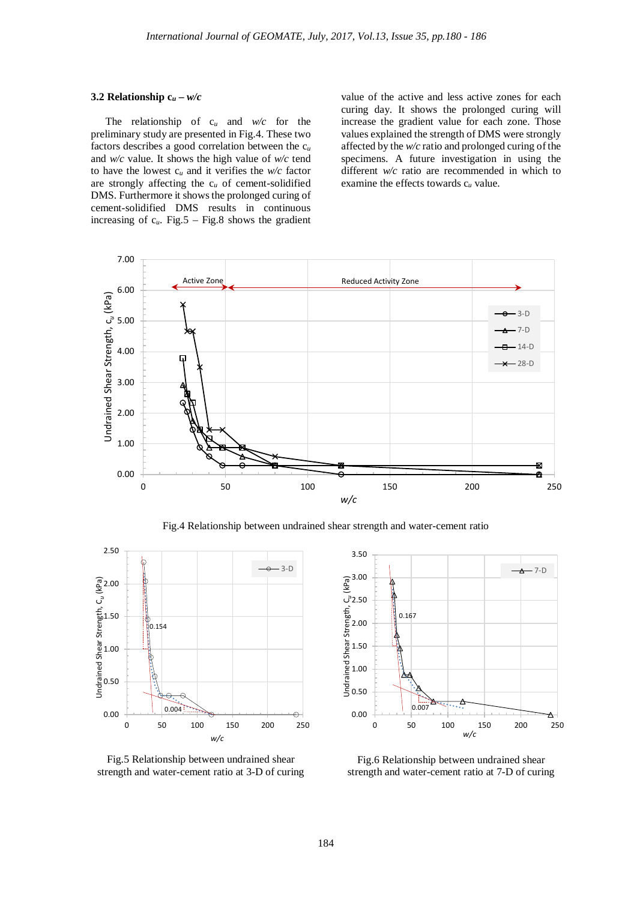# **3.2 Relationship**  $c_u - w/c$

The relationship of c*<sup>u</sup>* and *w/c* for the preliminary study are presented in Fig.4. These two factors describes a good correlation between the c*<sup>u</sup>* and *w/c* value. It shows the high value of *w/c* tend to have the lowest c*<sup>u</sup>* and it verifies the *w/c* factor are strongly affecting the  $c_u$  of cement-solidified DMS. Furthermore it shows the prolonged curing of cement-solidified DMS results in continuous increasing of c*u*. Fig.5 – Fig.8 shows the gradient

value of the active and less active zones for each curing day. It shows the prolonged curing will increase the gradient value for each zone. Those values explained the strength of DMS were strongly affected by the *w/c* ratio and prolonged curing of the specimens. A future investigation in using the different *w/c* ratio are recommended in which to examine the effects towards c*<sup>u</sup>* value.



Fig.4 Relationship between undrained shear strength and water-cement ratio



Fig.5 Relationship between undrained shear strength and water-cement ratio at 3-D of curing



Fig.6 Relationship between undrained shear strength and water-cement ratio at 7-D of curing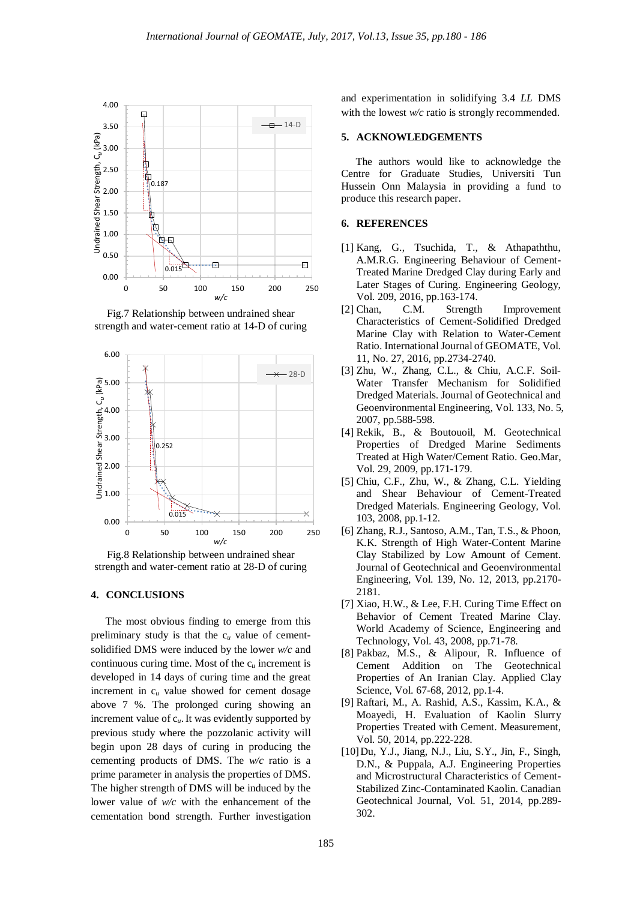

Fig.7 Relationship between undrained shear strength and water-cement ratio at 14-D of curing





## **4. CONCLUSIONS**

The most obvious finding to emerge from this preliminary study is that the c*<sup>u</sup>* value of cementsolidified DMS were induced by the lower *w/c* and continuous curing time. Most of the c*<sup>u</sup>* increment is developed in 14 days of curing time and the great increment in c*<sup>u</sup>* value showed for cement dosage above 7 %. The prolonged curing showing an increment value of c*u*.It was evidently supported by previous study where the pozzolanic activity will begin upon 28 days of curing in producing the cementing products of DMS. The *w/c* ratio is a prime parameter in analysis the properties of DMS. The higher strength of DMS will be induced by the lower value of *w/c* with the enhancement of the cementation bond strength. Further investigation and experimentation in solidifying 3.4 *LL* DMS with the lowest *w/c* ratio is strongly recommended.

#### **5. ACKNOWLEDGEMENTS**

The authors would like to acknowledge the Centre for Graduate Studies, Universiti Tun Hussein Onn Malaysia in providing a fund to produce this research paper.

#### **6. REFERENCES**

- [1] Kang, G., Tsuchida, T., & Athapaththu, A.M.R.G. Engineering Behaviour of Cement-Treated Marine Dredged Clay during Early and Later Stages of Curing. Engineering Geology, Vol. 209, 2016, pp.163-174.
- [2] Chan, C.M. Strength Improvement Characteristics of Cement-Solidified Dredged Marine Clay with Relation to Water-Cement Ratio. International Journal of GEOMATE, Vol. 11, No. 27, 2016, pp.2734-2740.
- [3] Zhu, W., Zhang, C.L., & Chiu, A.C.F. Soil-Water Transfer Mechanism for Solidified Dredged Materials. Journal of Geotechnical and Geoenvironmental Engineering, Vol. 133, No. 5, 2007, pp.588-598.
- [4] Rekik, B., & Boutouoil, M. Geotechnical Properties of Dredged Marine Sediments Treated at High Water/Cement Ratio. Geo.Mar, Vol. 29, 2009, pp.171-179.
- [5] Chiu, C.F., Zhu, W., & Zhang, C.L. Yielding and Shear Behaviour of Cement-Treated Dredged Materials. Engineering Geology, Vol. 103, 2008, pp.1-12.
- [6] Zhang, R.J., Santoso, A.M., Tan, T.S., & Phoon, K.K. Strength of High Water-Content Marine Clay Stabilized by Low Amount of Cement. Journal of Geotechnical and Geoenvironmental Engineering, Vol. 139, No. 12, 2013, pp.2170- 2181.
- [7] Xiao, H.W., & Lee, F.H. Curing Time Effect on Behavior of Cement Treated Marine Clay. World Academy of Science, Engineering and Technology, Vol. 43, 2008, pp.71-78.
- [8] Pakbaz, M.S., & Alipour, R. Influence of Cement Addition on The Geotechnical Properties of An Iranian Clay. Applied Clay Science, Vol. 67-68, 2012, pp.1-4.
- [9] Raftari, M., A. Rashid, A.S., Kassim, K.A., & Moayedi, H. Evaluation of Kaolin Slurry Properties Treated with Cement. Measurement, Vol. 50, 2014, pp.222-228.
- [10]Du, Y.J., Jiang, N.J., Liu, S.Y., Jin, F., Singh, D.N., & Puppala, A.J. Engineering Properties and Microstructural Characteristics of Cement-Stabilized Zinc-Contaminated Kaolin. Canadian Geotechnical Journal, Vol. 51, 2014, pp.289- 302.